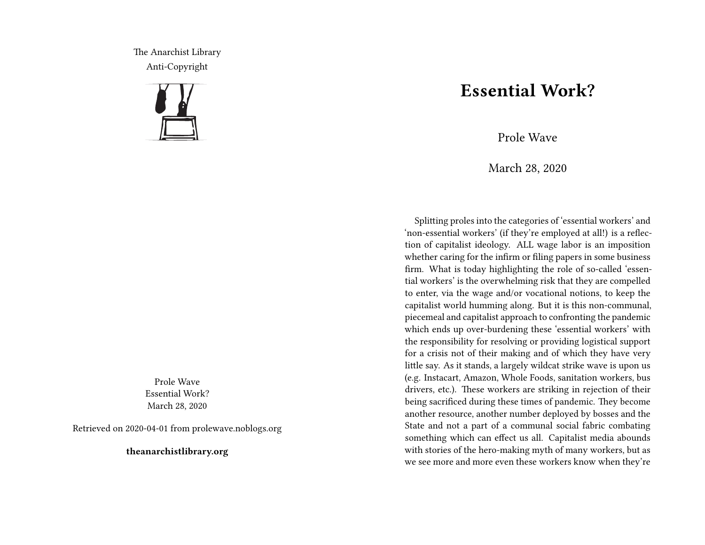The Anarchist Library Anti-Copyright



Prole Wave Essential Work? March 28, 2020

Retrieved on 2020-04-01 from prolewave.noblogs.org

**theanarchistlibrary.org**

## **Essential Work?**

Prole Wave

March 28, 2020

Splitting proles into the categories of 'essential workers' and 'non-essential workers' (if they're employed at all!) is a reflection of capitalist ideology. ALL wage labor is an imposition whether caring for the infirm or filing papers in some business firm. What is today highlighting the role of so-called 'essential workers' is the overwhelming risk that they are compelled to enter, via the wage and/or vocational notions, to keep the capitalist world humming along. But it is this non-communal, piecemeal and capitalist approach to confronting the pandemic which ends up over-burdening these 'essential workers' with the responsibility for resolving or providing logistical support for a crisis not of their making and of which they have very little say. As it stands, a largely wildcat strike wave is upon us (e.g. Instacart, Amazon, Whole Foods, sanitation workers, bus drivers, etc.). These workers are striking in rejection of their being sacrificed during these times of pandemic. They become another resource, another number deployed by bosses and the State and not a part of a communal social fabric combating something which can effect us all. Capitalist media abounds with stories of the hero-making myth of many workers, but as we see more and more even these workers know when they're